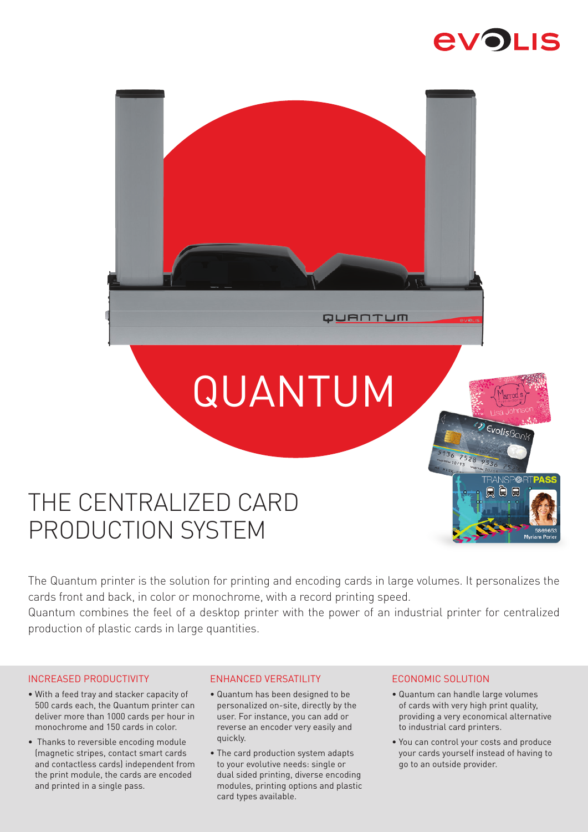



# THE CENTRALIZED CARD PRODUCTION SYSTEM

The Quantum printer is the solution for printing and encoding cards in large volumes. It personalizes the cards front and back, in color or monochrome, with a record printing speed.

Quantum combines the feel of a desktop printer with the power of an industrial printer for centralized production of plastic cards in large quantities.

# INCREASED PRODUCTIVITY

- With a feed tray and stacker capacity of 500 cards each, the Quantum printer can deliver more than 1000 cards per hour in monochrome and 150 cards in color.
- Thanks to reversible encoding module (magnetic stripes, contact smart cards and contactless cards) independent from the print module, the cards are encoded and printed in a single pass.

# ENHANCED VERSATILITY

- Quantum has been designed to be personalized on-site, directly by the user. For instance, you can add or reverse an encoder very easily and quickly.
- The card production system adapts to your evolutive needs: single or dual sided printing, diverse encoding modules, printing options and plastic card types available.

# ECONOMIC SOLUTION

- Quantum can handle large volumes of cards with very high print quality, providing a very economical alternative to industrial card printers.
- You can control your costs and produce your cards yourself instead of having to go to an outside provider.